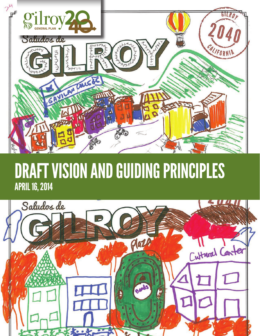

# DRAFT VISION AND GUIDING PRINCIPLES APRIL 16, 2014

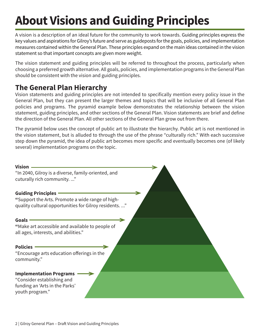# **About Visions and Guiding Principles**

A vision is a description of an ideal future for the community to work towards. Guiding principles express the key values and aspirations for Gilroy's future and serve as guideposts for the goals, policies, and implementation measures contained within the General Plan. These principles expand on the main ideas contained in the vision statement so that important concepts are given more weight.

The vision statement and guiding principles will be referred to throughout the process, particularly when choosing a preferred growth alternative. All goals, policies, and implementation programs in the General Plan should be consistent with the vision and guiding principles.

### **The General Plan Hierarchy**

Vision statements and guiding principles are not intended to specifically mention every policy issue in the General Plan, but they can present the larger themes and topics that will be inclusive of all General Plan policies and programs. The pyramid example below demonstrates the relationship between the vision statement, guiding principles, and other sections of the General Plan. Vision statements are brief and define the direction of the General Plan. All other sections of the General Plan grow out from there.

The pyramid below uses the concept of public art to illustrate the hierarchy. Public art is not mentioned in the vision statement, but is alluded to through the use of the phrase "culturally rich." With each successive step down the pyramid, the idea of public art becomes more specific and eventually becomes one (of likely several) implementation programs on the topic.

| <b>Vision</b>                                                                                                     |  |
|-------------------------------------------------------------------------------------------------------------------|--|
| "In 2040, Gilroy is a diverse, family-oriented, and<br>cuturally rich community"                                  |  |
| <b>Guiding Principles</b>                                                                                         |  |
| "Support the Arts. Promote a wide range of high-<br>quality cultural opportunities for Gilroy residents"          |  |
| <b>Goals</b>                                                                                                      |  |
| "Make art accessible and available to people of<br>all ages, interests, and abilities."                           |  |
| <b>Policies</b>                                                                                                   |  |
| "Encourage arts education offerings in the<br>community."                                                         |  |
| <b>Implementation Programs</b><br>"Consider establishing and<br>funding an 'Arts in the Parks'<br>youth program." |  |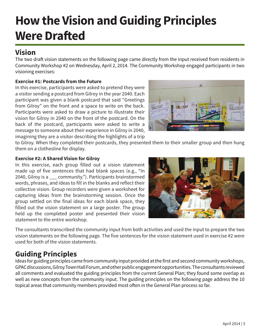## **How the Vision and Guiding Principles Were Drafted**

### **Vision**

The two draft vision statements on the following page came directly from the input received from residents in Community Workshop #2 on Wednesday, April 2, 2014. The Community Workshop engaged participants in two visioning exercises:

#### **Exercise #1: Postcards from the Future**

In this exercise, participants were asked to pretend they were a visitor sending a postcard from Gilroy in the year 2040. Each participant was given a blank postcard that said "Greetings from Gilroy" on the front and a space to write on the back. Participants were asked to draw a picture to illustrate their vision for Gilroy in 2040 on the front of the postcard. On the back of the postcard, participants were asked to write a message to someone about their experience in Gilroy in 2040, imagining they are a visitor describing the highlights of a trip



to Gilroy. When they completed their postcards, they presented them to their smaller group and then hung them on a clothesline for display.

#### **Exercise #2: A Shared Vision for Gilroy**

In this exercise, each group filled out a vision statement made up of five sentences that had blank spaces (e.g., "In 2040, Gilroy is a \_\_\_ community."). Participants brainstormed words, phrases, and ideas to fill in the blanks and reflect their collective vision. Group recorders were given a worksheet for capturing ideas from the brainstorming session. Once the group settled on the final ideas for each blank space, they filled out the vision statement on a large poster. The group held up the completed poster and presented their vision statement to the entire workshop.



The consultants transcribed the community input from both activities and used the input to prepare the two vision statements on the following page. The five sentences for the vision statement used in exercise #2 were used for both of the vision statements.

### **Guiding Principles**

Ideas for guiding principles came from community input provided at the first and second community workshops, GPAC discussions, Gilroy Town Hall Forum, and other public engagement opportunities. The consultants reviewed all comments and evaluated the guiding principles from the current General Plan; they found some overlap as well as new concepts from the community input. The guiding principles on the following page address the 10 topical areas that community members provided most often in the General Plan process so far.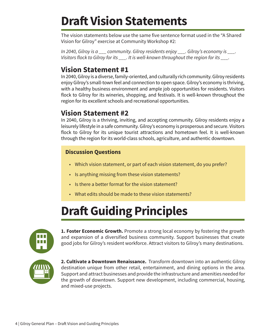### **Draft Vision Statements**

The vision statements below use the same five sentence format used in the "A Shared Vision for Gilroy" exercise at Community Workshop #2:

*In 2040, Gilroy is a \_\_\_ community. Gilroy residents enjoy \_\_\_. Gilroy's economy is \_\_\_.*  Visitors flock to Gilroy for its \_\_\_. It is well-known throughout the region for its \_\_\_.

### **Vision Statement #1**

In 2040, Gilroy is a diverse, family-oriented, and culturally rich community. Gilroy residents enjoy Gilroy's small-town feel and connection to open space. Gilroy's economy is thriving, with a healthy business environment and ample job opportunities for residents. Visitors flock to Gilroy for its wineries, shopping, and festivals. It is well-known throughout the region for its excellent schools and recreational opportunities.

#### **Vision Statement #2**

In 2040, Gilroy is a thriving, inviting, and accepting community. Gilroy residents enjoy a leisurely lifestyle in a safe community. Gilroy's economy is prosperous and secure. Visitors flock to Gilroy for its unique tourist attractions and hometown feel. It is well-known through the region for its world-class schools, agriculture, and authentic downtown.

#### **Discussion Questions**

- Which vision statement, or part of each vision statement, do you prefer?
- Is anything missing from these vision statements?
- Is there a better format for the vision statement?
- What edits should be made to these vision statements?

## **Draft Guiding Principles**



**1. Foster Economic Growth.** Promote a strong local economy by fostering the growth and expansion of a diversified business community. Support businesses that create good jobs for Gilroy's resident workforce. Attract visitors to Gilroy's many destinations.



**2. Cultivate a Downtown Renaissance.** Transform downtown into an authentic Gilroy destination unique from other retail, entertainment, and dining options in the area. Support and attract businesses and provide the infrastructure and amenities needed for the growth of downtown. Support new development, including commercial, housing, and mixed-use projects.